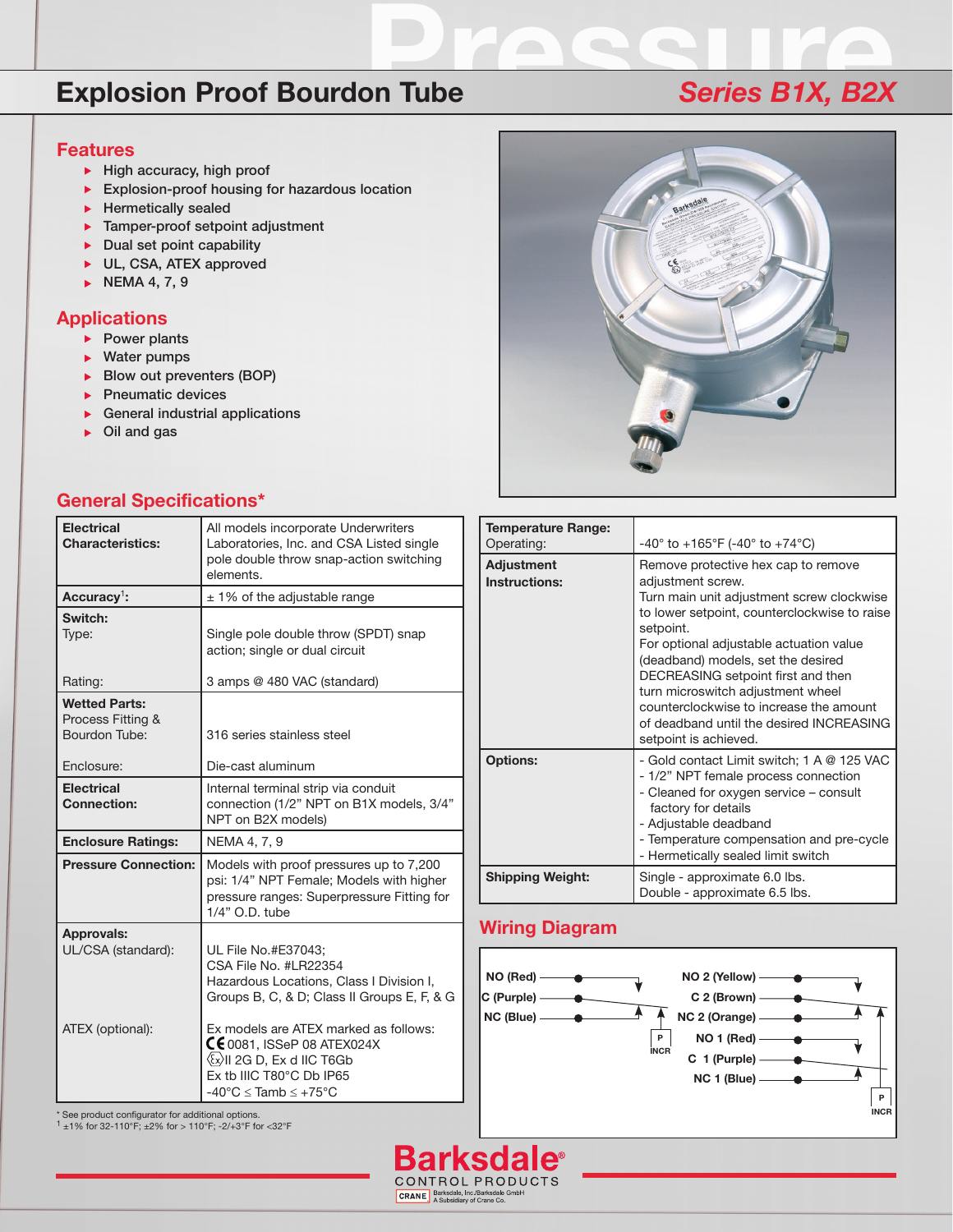# **Explosion Proof Bourdon Tube Proof Bourdon Tube Proof Series B1X, B2X**

#### **Features**

- $\blacktriangleright$  High accuracy, high proof
- Explosion-proof housing for hazardous location
- $\blacktriangleright$  Hermetically sealed
- **Tamper-proof setpoint adjustment**
- $\triangleright$  Dual set point capability
- ▶ UL, CSA, ATEX approved
- NEMA 4, 7, 9

#### **Applications**

- $\blacktriangleright$  Power plants
- ▶ Water pumps
- Blow out preventers (BOP)
- Pneumatic devices
- General industrial applications
- Oil and gas



#### **General Specifications\***

| <b>Electrical</b><br><b>Characteristics:</b>                             | All models incorporate Underwriters<br>Laboratories, Inc. and CSA Listed single<br>pole double throw snap-action switching<br>elements.                                                |
|--------------------------------------------------------------------------|----------------------------------------------------------------------------------------------------------------------------------------------------------------------------------------|
| Accuracy <sup>1</sup> :                                                  | $± 1\%$ of the adjustable range                                                                                                                                                        |
| Switch:<br>Type:                                                         | Single pole double throw (SPDT) snap<br>action; single or dual circuit                                                                                                                 |
| Rating:                                                                  | 3 amps @ 480 VAC (standard)                                                                                                                                                            |
| <b>Wetted Parts:</b><br>Process Fitting &<br>Bourdon Tube:<br>Enclosure: | 316 series stainless steel<br>Die-cast aluminum                                                                                                                                        |
| <b>Electrical</b><br><b>Connection:</b>                                  | Internal terminal strip via conduit<br>connection (1/2" NPT on B1X models, 3/4"<br>NPT on B2X models)                                                                                  |
| <b>Enclosure Ratings:</b>                                                | NEMA 4, 7, 9                                                                                                                                                                           |
| <b>Pressure Connection:</b>                                              | Models with proof pressures up to 7,200<br>psi: 1/4" NPT Female; Models with higher<br>pressure ranges: Superpressure Fitting for<br>1/4" O.D. tube                                    |
| Approvals:<br>UL/CSA (standard):<br>ATEX (optional):                     | UL File No.#E37043;<br>CSA File No. #LR22354<br>Hazardous Locations, Class I Division I,<br>Groups B, C, & D; Class II Groups E, F, & G<br>Ex models are ATEX marked as follows:       |
|                                                                          | $\mathsf{\mathsf{C}}\mathsf{\mathsf{E}}$ 0081, ISSeP 08 ATEX024X<br>$\langle x \rangle$ II 2G D, Ex d IIC T6Gb<br>Ex tb IIIC T80°C Db IP65<br>$-40^{\circ}$ C < Tamb < $+75^{\circ}$ C |

| <b>Temperature Range:</b><br>Operating: | $-40^{\circ}$ to $+165^{\circ}$ F (-40° to $+74^{\circ}$ C)                                                                                                                                                                                                                                                                                                                                                                                    |
|-----------------------------------------|------------------------------------------------------------------------------------------------------------------------------------------------------------------------------------------------------------------------------------------------------------------------------------------------------------------------------------------------------------------------------------------------------------------------------------------------|
| <b>Adjustment</b><br>Instructions:      | Remove protective hex cap to remove<br>adjustment screw.<br>Turn main unit adjustment screw clockwise<br>to lower setpoint, counterclockwise to raise<br>setpoint.<br>For optional adjustable actuation value<br>(deadband) models, set the desired<br>DECREASING setpoint first and then<br>turn microswitch adjustment wheel<br>counterclockwise to increase the amount<br>of deadband until the desired INCREASING<br>setpoint is achieved. |
| <b>Options:</b>                         | - Gold contact Limit switch; 1 A @ 125 VAC<br>- 1/2" NPT female process connection<br>- Cleaned for oxygen service – consult<br>factory for details<br>- Adjustable deadband<br>- Temperature compensation and pre-cycle<br>- Hermetically sealed limit switch                                                                                                                                                                                 |
| <b>Shipping Weight:</b>                 | Single - approximate 6.0 lbs.<br>Double - approximate 6.5 lbs.                                                                                                                                                                                                                                                                                                                                                                                 |

### **Wiring Diagram**

 $\mathbf{e}^*$ 

**Barksda** 

CONTROL PRODUCTS CRANE, Barksdale, Inc./Barksdale Grand



\* See product configurator for additional options. 1 ±1% for 32-110°F; ±2% for > 110°F; -2/+3°F for <32°F